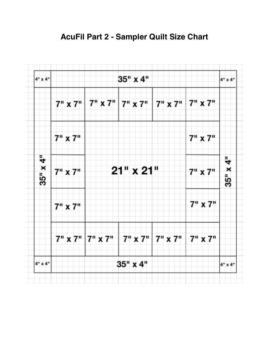

## **AcuFil Part 2 - Sampler Quilt Size Chart**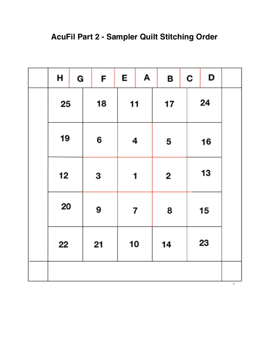## **AcuFil Part 2 - Sampler Quilt Stitching Order**

|  | н                    | G |    | F | E                       | Α |    | в | C | D  |  |
|--|----------------------|---|----|---|-------------------------|---|----|---|---|----|--|
|  | 25<br>19<br>12<br>20 |   | 18 |   | 11                      |   | 17 |   |   | 24 |  |
|  |                      |   | 6  |   | 4                       |   | 5  |   |   | 16 |  |
|  |                      |   | 3  |   | 1                       |   | 2  |   |   | 13 |  |
|  |                      |   | 9  |   | $\overline{\mathbf{r}}$ |   | 8  |   |   | 15 |  |
|  | 22                   |   | 21 |   | 10                      |   | 14 |   |   | 23 |  |
|  |                      |   |    |   |                         |   |    |   |   |    |  |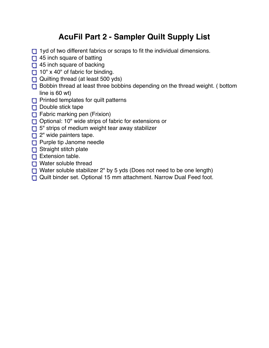## **AcuFil Part 2 - Sampler Quilt Supply List**

- 1yd of two different fabrics or scraps to fit the individual dimensions.
- $\Box$  45 inch square of batting
- □ 45 inch square of backing
- $10''$  x 40" of fabric for binding.
- Quilting thread (at least 500 yds)
- Bobbin thread at least three bobbins depending on the thread weight. (bottom line is 60 wt)
- **Printed templates for quilt patterns**
- $\Box$  Double stick tape
- $\Box$  Fabric marking pen (Frixion)
- Optional: 10" wide strips of fabric for extensions or
- 5" strips of medium weight tear away stabilizer
- $\Box$  2" wide painters tape.
- **Purple tip Janome needle**
- Straight stitch plate
- $\Box$  Extension table.
- **n** Water soluble thread
- Water soluble stabilizer 2" by 5 yds (Does not need to be one length)
- Quilt binder set. Optional 15 mm attachment. Narrow Dual Feed foot.